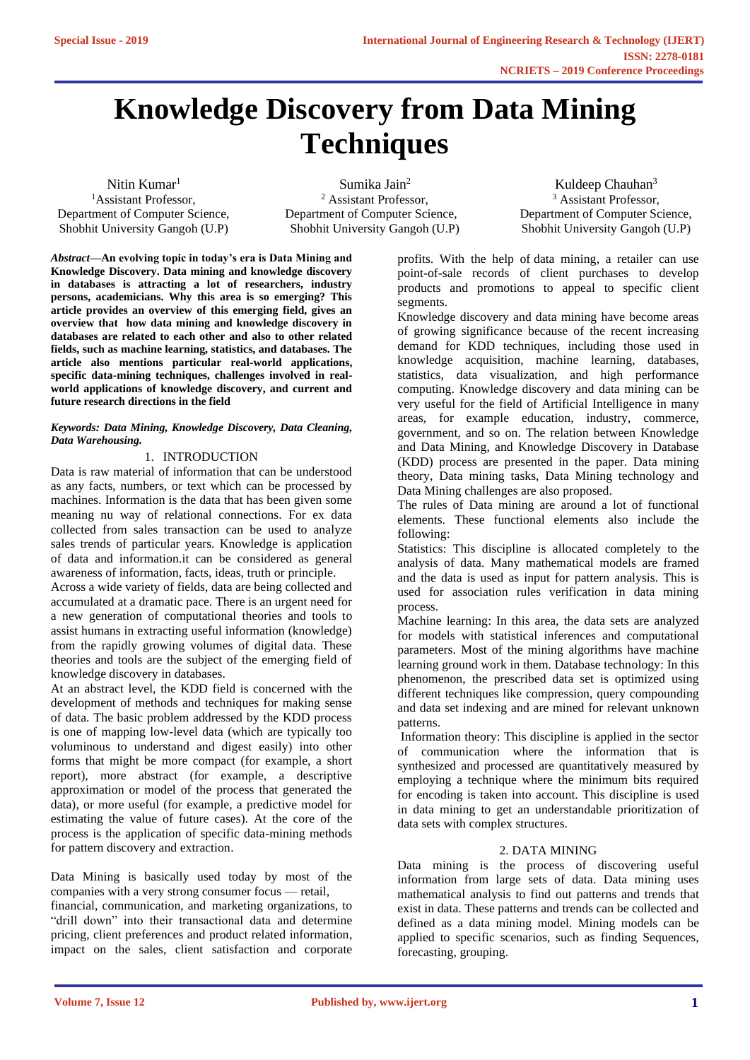# **Knowledge Discovery from Data Mining Techniques**

Nitin Kumar<sup>1</sup> <sup>1</sup>Assistant Professor, Department of Computer Science, Shobhit University Gangoh (U.P)

Sumika Jain<sup>2</sup> <sup>2</sup> Assistant Professor, Department of Computer Science, Shobhit University Gangoh (U.P)

Kuldeep Chauhan<sup>3</sup> <sup>3</sup> Assistant Professor, Department of Computer Science, Shobhit University Gangoh (U.P)

*Abstract—***An evolving topic in today's era is Data Mining and Knowledge Discovery. Data mining and knowledge discovery in databases is attracting a lot of researchers, industry persons, academicians. Why this area is so emerging? This article provides an overview of this emerging field, gives an overview that how data mining and knowledge discovery in databases are related to each other and also to other related fields, such as machine learning, statistics, and databases. The article also mentions particular real-world applications, specific data-mining techniques, challenges involved in realworld applications of knowledge discovery, and current and future research directions in the field**

#### *Keywords: Data Mining, Knowledge Discovery, Data Cleaning, Data Warehousing.*

# 1. INTRODUCTION

Data is raw material of information that can be understood as any facts, numbers, or text which can be processed by machines. Information is the data that has been given some meaning nu way of relational connections. For ex data collected from sales transaction can be used to analyze sales trends of particular years. Knowledge is application of data and information.it can be considered as general awareness of information, facts, ideas, truth or principle.

Across a wide variety of fields, data are being collected and accumulated at a dramatic pace. There is an urgent need for a new generation of computational theories and tools to assist humans in extracting useful information (knowledge) from the rapidly growing volumes of digital data. These theories and tools are the subject of the emerging field of knowledge discovery in databases.

At an abstract level, the KDD field is concerned with the development of methods and techniques for making sense of data. The basic problem addressed by the KDD process is one of mapping low-level data (which are typically too voluminous to understand and digest easily) into other forms that might be more compact (for example, a short report), more abstract (for example, a descriptive approximation or model of the process that generated the data), or more useful (for example, a predictive model for estimating the value of future cases). At the core of the process is the application of specific data-mining methods for pattern discovery and extraction.

Data Mining is basically used today by most of the companies with a very strong consumer focus — retail,

financial, communication, and marketing organizations, to "drill down" into their transactional data and determine pricing, client preferences and product related information, impact on the sales, client satisfaction and corporate

profits. With the help of [data mining,](https://bigdata-madesimple.com/what-is-clustering-in-data-mining/) a retailer can use point-of-sale records of client purchases to develop products and promotions to appeal to specific client segments.

Knowledge discovery and data mining have become areas of growing significance because of the recent increasing demand for KDD techniques, including those used in knowledge acquisition, machine learning, databases, statistics, data visualization, and high performance computing. Knowledge discovery and data mining can be very useful for the field of Artificial Intelligence in many areas, for example education, industry, commerce, government, and so on. The relation between Knowledge and Data Mining, and Knowledge Discovery in Database (KDD) process are presented in the paper. Data mining theory, Data mining tasks, Data Mining technology and Data Mining challenges are also proposed.

The rules of Data mining are around a lot of functional elements. These functional elements also include the following:

Statistics: This discipline is allocated completely to the analysis of data. Many mathematical models are framed and the data is used as input for pattern analysis. This is used for association rules verification in data mining process.

Machine learning: In this area, the data sets are analyzed for models with statistical inferences and computational parameters. Most of the mining algorithms have machine learning ground work in them. Database technology: In this phenomenon, the prescribed data set is optimized using different techniques like compression, query compounding and data set indexing and are mined for relevant unknown patterns.

Information theory: This discipline is applied in the sector of communication where the information that is synthesized and processed are quantitatively measured by employing a technique where the minimum bits required for encoding is taken into account. This discipline is used in data mining to get an understandable prioritization of data sets with complex structures.

## 2. DATA MINING

Data mining is the process of discovering useful information from large sets of data. Data mining uses mathematical analysis to find out patterns and trends that exist in data. These patterns and trends can be collected and defined as a data mining model. Mining models can be applied to specific scenarios, such as finding Sequences, forecasting, grouping.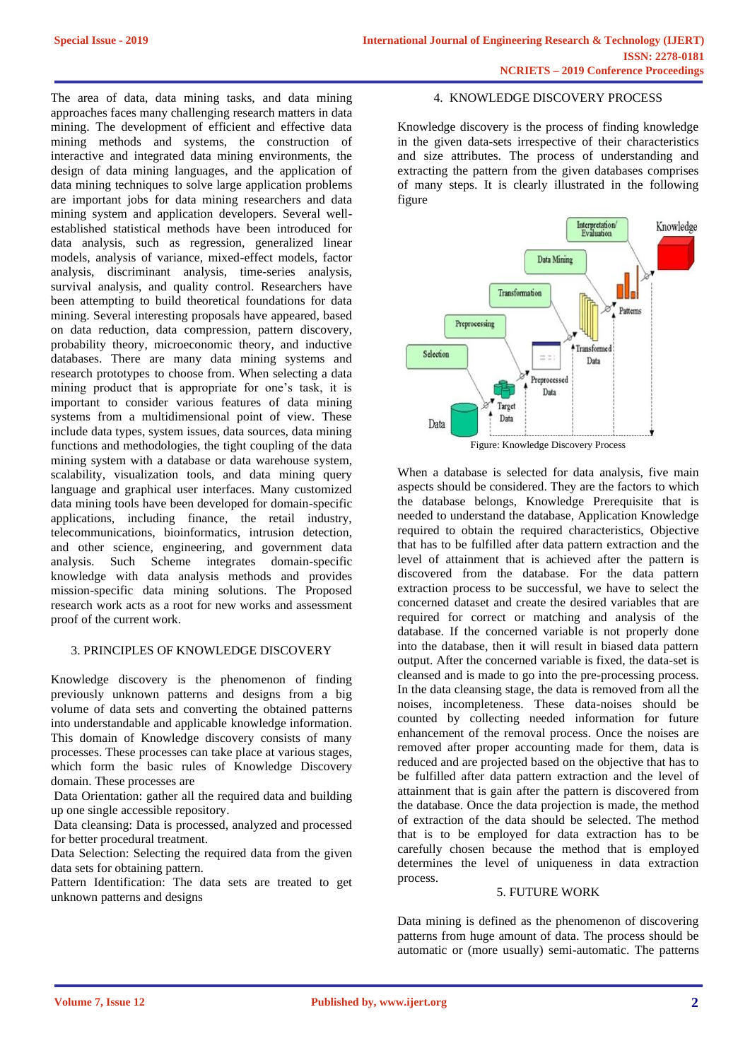The area of data, data mining tasks, and data mining approaches faces many challenging research matters in data mining. The development of efficient and effective data mining methods and systems, the construction of interactive and integrated data mining environments, the design of data mining languages, and the application of data mining techniques to solve large application problems are important jobs for data mining researchers and data mining system and application developers. Several wellestablished statistical methods have been introduced for data analysis, such as regression, generalized linear models, analysis of variance, mixed-effect models, factor analysis, discriminant analysis, time-series analysis, survival analysis, and quality control. Researchers have been attempting to build theoretical foundations for data mining. Several interesting proposals have appeared, based on data reduction, data compression, pattern discovery, probability theory, microeconomic theory, and inductive databases. There are many data mining systems and research prototypes to choose from. When selecting a data mining product that is appropriate for one's task, it is important to consider various features of data mining systems from a multidimensional point of view. These include data types, system issues, data sources, data mining functions and methodologies, the tight coupling of the data mining system with a database or data warehouse system, scalability, visualization tools, and data mining query language and graphical user interfaces. Many customized data mining tools have been developed for domain-specific applications, including finance, the retail industry, telecommunications, bioinformatics, intrusion detection, and other science, engineering, and government data analysis. Such Scheme integrates domain-specific knowledge with data analysis methods and provides mission-specific data mining solutions. The Proposed research work acts as a root for new works and assessment proof of the current work.

# 3. PRINCIPLES OF KNOWLEDGE DISCOVERY

Knowledge discovery is the phenomenon of finding previously unknown patterns and designs from a big volume of data sets and converting the obtained patterns into understandable and applicable knowledge information. This domain of Knowledge discovery consists of many processes. These processes can take place at various stages, which form the basic rules of Knowledge Discovery domain. These processes are

Data Orientation: gather all the required data and building up one single accessible repository.

Data cleansing: Data is processed, analyzed and processed for better procedural treatment.

Data Selection: Selecting the required data from the given data sets for obtaining pattern.

Pattern Identification: The data sets are treated to get unknown patterns and designs

### 4. KNOWLEDGE DISCOVERY PROCESS

Knowledge discovery is the process of finding knowledge in the given data-sets irrespective of their characteristics and size attributes. The process of understanding and extracting the pattern from the given databases comprises of many steps. It is clearly illustrated in the following figure



When a database is selected for data analysis, five main aspects should be considered. They are the factors to which the database belongs, Knowledge Prerequisite that is needed to understand the database, Application Knowledge required to obtain the required characteristics, Objective that has to be fulfilled after data pattern extraction and the level of attainment that is achieved after the pattern is discovered from the database. For the data pattern extraction process to be successful, we have to select the concerned dataset and create the desired variables that are required for correct or matching and analysis of the database. If the concerned variable is not properly done into the database, then it will result in biased data pattern output. After the concerned variable is fixed, the data-set is cleansed and is made to go into the pre-processing process. In the data cleansing stage, the data is removed from all the noises, incompleteness. These data-noises should be counted by collecting needed information for future enhancement of the removal process. Once the noises are removed after proper accounting made for them, data is reduced and are projected based on the objective that has to be fulfilled after data pattern extraction and the level of attainment that is gain after the pattern is discovered from the database. Once the data projection is made, the method of extraction of the data should be selected. The method that is to be employed for data extraction has to be carefully chosen because the method that is employed determines the level of uniqueness in data extraction process.

## 5. FUTURE WORK

Data mining is defined as the phenomenon of discovering patterns from huge amount of data. The process should be automatic or (more usually) semi-automatic. The patterns